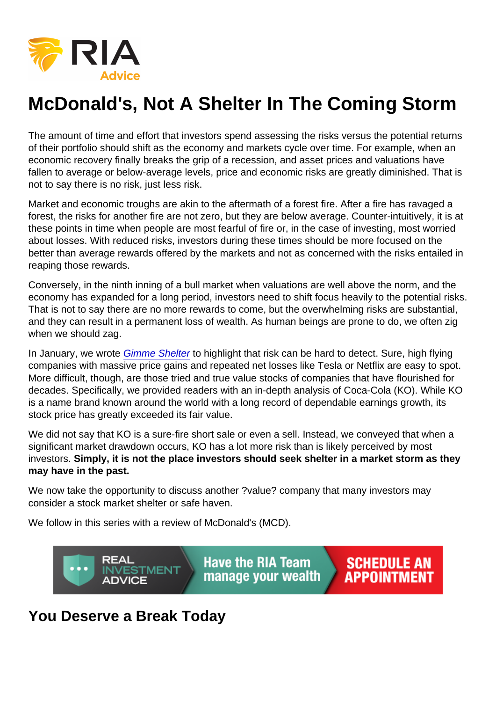## McDonald's, Not A Shelter In The Coming Storm

The amount of time and effort that investors spend assessing the risks versus the potential returns of their portfolio should shift as the economy and markets cycle over time. For example, when an economic recovery finally breaks the grip of a recession, and asset prices and valuations have fallen to average or below-average levels, price and economic risks are greatly diminished. That is not to say there is no risk, just less risk.

Market and economic troughs are akin to the aftermath of a forest fire. After a fire has ravaged a forest, the risks for another fire are not zero, but they are below average. Counter-intuitively, it is at these points in time when people are most fearful of fire or, in the case of investing, most worried about losses. With reduced risks, investors during these times should be more focused on the better than average rewards offered by the markets and not as concerned with the risks entailed in reaping those rewards.

Conversely, in the ninth inning of a bull market when valuations are well above the norm, and the economy has expanded for a long period, investors need to shift focus heavily to the potential risks. That is not to say there are no more rewards to come, but the overwhelming risks are substantial, and they can result in a permanent loss of wealth. As human beings are prone to do, we often zig when we should zag.

In January, we wrote [Gimme Shelter](https://realinvestmentadvice.com/gimme-shelter/) to highlight that risk can be hard to detect. Sure, high flying companies with massive price gains and repeated net losses like Tesla or Netflix are easy to spot. More difficult, though, are those tried and true value stocks of companies that have flourished for decades. Specifically, we provided readers with an in-depth analysis of Coca-Cola (KO). While KO is a name brand known around the world with a long record of dependable earnings growth, its stock price has greatly exceeded its fair value.

We did not say that KO is a sure-fire short sale or even a sell. Instead, we conveyed that when a significant market drawdown occurs, KO has a lot more risk than is likely perceived by most investors. Simply, it is not the place investors should seek shelter in a market storm as they may have in the past.

We now take the opportunity to discuss another ?value? company that many investors may consider a stock market shelter or safe haven.

We follow in this series with a review of McDonald's (MCD).

## You Deserve a Break Today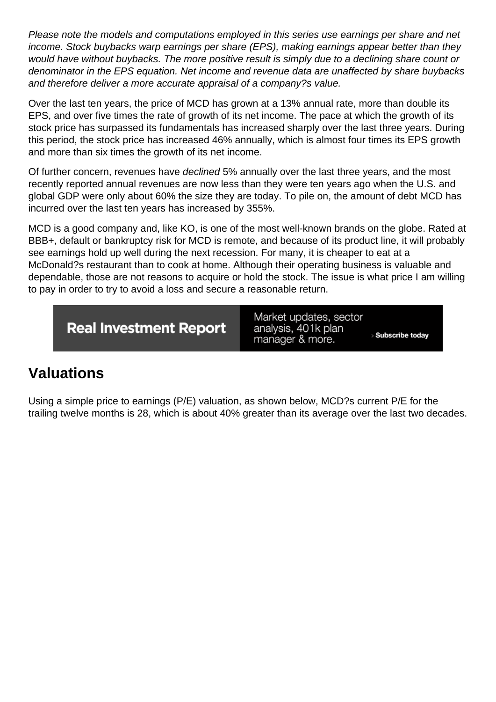Please note the models and computations employed in this series use earnings per share and net income. Stock buybacks warp earnings per share (EPS), making earnings appear better than they would have without buybacks. The more positive result is simply due to a declining share count or denominator in the EPS equation. Net income and revenue data are unaffected by share buybacks and therefore deliver a more accurate appraisal of a company?s value.

Over the last ten years, the price of MCD has grown at a 13% annual rate, more than double its EPS, and over five times the rate of growth of its net income. The pace at which the growth of its stock price has surpassed its fundamentals has increased sharply over the last three years. During this period, the stock price has increased 46% annually, which is almost four times its EPS growth and more than six times the growth of its net income.

Of further concern, revenues have declined 5% annually over the last three years, and the most recently reported annual revenues are now less than they were ten years ago when the U.S. and global GDP were only about 60% the size they are today. To pile on, the amount of debt MCD has incurred over the last ten years has increased by 355%.

MCD is a good company and, like KO, is one of the most well-known brands on the globe. Rated at BBB+, default or bankruptcy risk for MCD is remote, and because of its product line, it will probably see earnings hold up well during the next recession. For many, it is cheaper to eat at a McDonald?s restaurant than to cook at home. Although their operating business is valuable and dependable, those are not reasons to acquire or hold the stock. The issue is what price I am willing to pay in order to try to avoid a loss and secure a reasonable return.

## Valuations

Using a simple price to earnings (P/E) valuation, as shown below, MCD?s current P/E for the trailing twelve months is 28, which is about 40% greater than its average over the last two decades.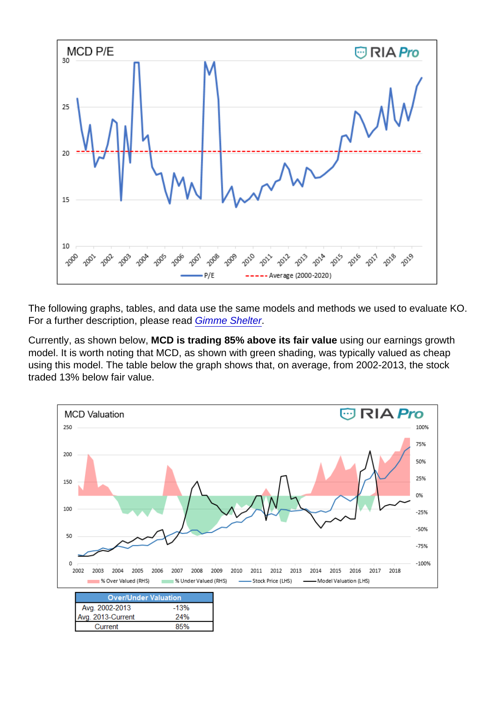The following graphs, tables, and data use the same models and methods we used to evaluate KO. For a further description, please read [Gimme Shelter](https://realinvestmentadvice.com/gimme-shelter/).

Currently, as shown below, MCD is trading 85% above its fair value using our earnings growth model. It is worth noting that MCD, as shown with green shading, was typically valued as cheap using this model. The table below the graph shows that, on average, from 2002-2013, the stock traded 13% below fair value.